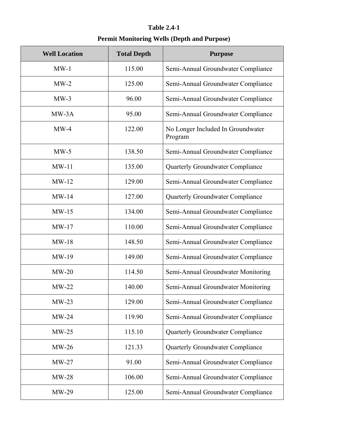# **Table 2.4-1 Permit Monitoring Wells (Depth and Purpose)**

| <b>Well Location</b> | <b>Total Depth</b> | <b>Purpose</b>                               |
|----------------------|--------------------|----------------------------------------------|
| $MW-1$               | 115.00             | Semi-Annual Groundwater Compliance           |
| $MW-2$               | 125.00             | Semi-Annual Groundwater Compliance           |
| $MW-3$               | 96.00              | Semi-Annual Groundwater Compliance           |
| $MW-3A$              | 95.00              | Semi-Annual Groundwater Compliance           |
| $MW-4$               | 122.00             | No Longer Included In Groundwater<br>Program |
| $MW-5$               | 138.50             | Semi-Annual Groundwater Compliance           |
| $MW-11$              | 135.00             | Quarterly Groundwater Compliance             |
| $MW-12$              | 129.00             | Semi-Annual Groundwater Compliance           |
| $MW-14$              | 127.00             | <b>Quarterly Groundwater Compliance</b>      |
| $MW-15$              | 134.00             | Semi-Annual Groundwater Compliance           |
| $MW-17$              | 110.00             | Semi-Annual Groundwater Compliance           |
| $MW-18$              | 148.50             | Semi-Annual Groundwater Compliance           |
| $MW-19$              | 149.00             | Semi-Annual Groundwater Compliance           |
| $MW-20$              | 114.50             | Semi-Annual Groundwater Monitoring           |
| $MW-22$              | 140.00             | Semi-Annual Groundwater Monitoring           |
| $MW-23$              | 129.00             | Semi-Annual Groundwater Compliance           |
| $MW-24$              | 119.90             | Semi-Annual Groundwater Compliance           |
| $MW-25$              | 115.10             | Quarterly Groundwater Compliance             |
| $MW-26$              | 121.33             | Quarterly Groundwater Compliance             |
| $MW-27$              | 91.00              | Semi-Annual Groundwater Compliance           |
| $MW-28$              | 106.00             | Semi-Annual Groundwater Compliance           |
| $MW-29$              | 125.00             | Semi-Annual Groundwater Compliance           |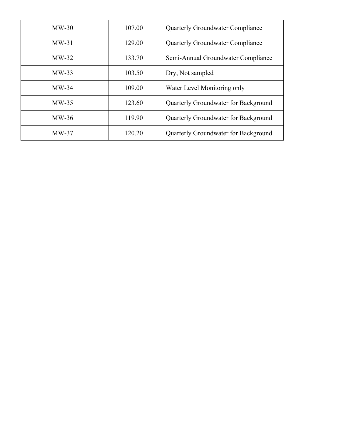| $MW-30$ | 107.00 | <b>Quarterly Groundwater Compliance</b>     |  |  |  |
|---------|--------|---------------------------------------------|--|--|--|
| $MW-31$ | 129.00 | <b>Quarterly Groundwater Compliance</b>     |  |  |  |
| $MW-32$ | 133.70 | Semi-Annual Groundwater Compliance          |  |  |  |
| $MW-33$ | 103.50 | Dry, Not sampled                            |  |  |  |
| $MW-34$ | 109.00 | Water Level Monitoring only                 |  |  |  |
| $MW-35$ | 123.60 | <b>Quarterly Groundwater for Background</b> |  |  |  |
| $MW-36$ | 119.90 | Quarterly Groundwater for Background        |  |  |  |
| $MW-37$ | 120.20 | Quarterly Groundwater for Background        |  |  |  |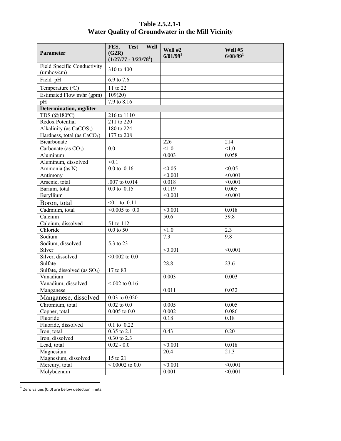# **Table 2.5.2.1-1 Water Quality of Groundwater in the Mill Vicinity**

| <b>Parameter</b>                          | <b>Test</b><br>Well<br>FES,<br>(G2R)<br>$(1/27/77 - 3/23/781)$ | Well #2<br>6/01/99 <sup>1</sup> | Well #5<br>6/08/99 <sup>1</sup> |
|-------------------------------------------|----------------------------------------------------------------|---------------------------------|---------------------------------|
| Field Specific Conductivity<br>(umhos/cm) | 310 to 400                                                     |                                 |                                 |
| Field pH                                  | 6.9 to 7.6                                                     |                                 |                                 |
| Temperature (°C)                          | 11 to 22                                                       |                                 |                                 |
| Estimated Flow m/hr (gpm)                 | 109(20)                                                        |                                 |                                 |
| pH                                        | 7.9 to 8.16                                                    |                                 |                                 |
| <b>Determination</b> , mg/liter           |                                                                |                                 |                                 |
| TDS $(Q180^{\circ}C)$                     | 216 to 1110                                                    |                                 |                                 |
| Redox Potential                           | 211 to 220                                                     |                                 |                                 |
| Alkalinity (as CaCOS <sub>3</sub> )       | 180 to 224                                                     |                                 |                                 |
| Hardness, total (as $CaCO3$ )             | 177 to 208                                                     |                                 |                                 |
| Bicarbonate                               |                                                                | 226                             | 214                             |
| Carbonate (as $CO3$ )                     | 0.0                                                            | < 1.0                           | < 1.0                           |
| Aluminum                                  |                                                                | 0.003                           | 0.058                           |
| Aluminum, dissolved                       | < 0.1                                                          |                                 |                                 |
| Ammonia (as N)                            | $0.0 \text{ to } 0.16$                                         | < 0.05                          | < 0.05                          |
| Antimony                                  |                                                                | < 0.001                         | < 0.001                         |
| Arsenic, total                            | .007 to 0.014                                                  | 0.018                           | < 0.001                         |
| Barium, total                             | $0.0 \text{ to } 0.15$                                         | 0.119                           | 0.005                           |
| Beryllium                                 |                                                                | < 0.001                         | < 0.001                         |
| Boron, total                              | $<0.1$ to $0.11$                                               |                                 |                                 |
| Cadmium, total                            | $<0.005$ to 0.0                                                | < 0.001                         | 0.018                           |
| Calcium                                   |                                                                | 50.6                            | 39.8                            |
| Calcium, dissolved                        | 51 to 112                                                      |                                 |                                 |
| Chloride                                  | $0.0$ to 50                                                    | < 1.0                           | 2.3                             |
| Sodium                                    |                                                                | 7.3                             | 9.8                             |
| Sodium, dissolved                         | 5.3 to 23                                                      |                                 |                                 |
| Silver                                    |                                                                | < 0.001                         | < 0.001                         |
| Silver, dissolved                         | $< 0.002$ to 0.0                                               |                                 |                                 |
| Sulfate                                   |                                                                | 28.8                            | 23.6                            |
| Sulfate, dissolved (as $SO_4$ )           | 17 to 83                                                       |                                 |                                 |
| Vanadium<br>Vanadium, dissolved           |                                                                | 0.003                           | 0.003                           |
|                                           | $< 0.02$ to 0.16                                               | 0.011                           |                                 |
| Manganese                                 |                                                                |                                 | 0.032                           |
| Manganese, dissolved                      | $0.03$ to $0.020$                                              |                                 |                                 |
| Chromium, total                           | $0.02$ to $0.0$                                                | 0.005                           | 0.005                           |
| Copper, total<br>Fluoride                 | $0.005$ to $0.0$                                               | 0.002<br>0.18                   | 0.086<br>0.18                   |
| Fluoride, dissolved                       | 0.1 to 0.22                                                    |                                 |                                 |
| Iron, total                               | $0.35$ to $2.1$                                                | 0.43                            | 0.20                            |
| Iron, dissolved                           | 0.30 to 2.3                                                    |                                 |                                 |
| Lead, total                               | $0.02 - 0.0$                                                   | < 0.001                         | 0.018                           |
| Magnesium                                 |                                                                | 20.4                            | 21.3                            |
| Magnesium, dissolved                      | 15 to 21                                                       |                                 |                                 |
| Mercury, total                            | $< 00002$ to 0.0                                               | < 0.001                         | < 0.001                         |
| Molybdenum                                |                                                                | 0.001                           | < 0.001                         |
|                                           |                                                                |                                 |                                 |

  $^1$  Zero values (0.0) are below detection limits.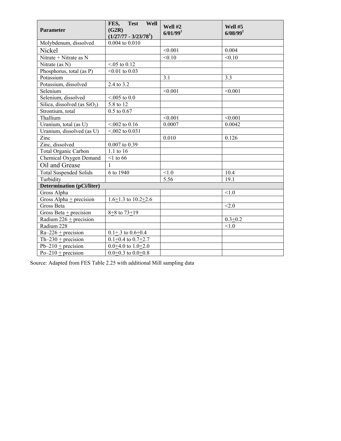| Parameter                        | <b>Test</b><br>Well<br>FES,<br>(G2R)<br>$(1/27/77 - 3/23/781)$ | Well #2<br>6/01/99 <sup>1</sup> | Well #5<br>6/08/99 <sup>1</sup> |
|----------------------------------|----------------------------------------------------------------|---------------------------------|---------------------------------|
| Molybdenum, dissolved            | 0.004 to 0.010                                                 |                                 |                                 |
| Nickel                           |                                                                | < 0.001                         | 0.004                           |
| Nitrate + Nitrate as N           |                                                                | < 0.10                          | < 0.10                          |
| Nitrate (as N)                   | $< 0.05$ to 0.12                                               |                                 |                                 |
| Phosphorus, total (as P)         | $< 0.01$ to 0.03                                               |                                 |                                 |
| Potassium                        |                                                                | 3.1                             | 3.3                             |
| Potassium, dissolved             | 2.4 to 3.2                                                     |                                 |                                 |
| Selenium                         |                                                                | < 0.001                         | < 0.001                         |
| Selenium, dissolved              | $< 0.05$ to 0.0                                                |                                 |                                 |
| Silica, dissolved (as $SiO2$ )   | 5.8 to 12                                                      |                                 |                                 |
| Strontium, total                 | $0.5$ to $0.67$                                                |                                 |                                 |
| Thallium                         |                                                                | < 0.001                         | < 0.001                         |
| Uranium, total (as U)            | $< 0.02$ to 0.16                                               | 0.0007                          | 0.0042                          |
| Uranium, dissolved (as U)        | $< 0.02$ to 0.031                                              |                                 |                                 |
| Zinc                             |                                                                | 0.010                           | 0.126                           |
| Zinc, dissolved                  | 0.007 to 0.39                                                  |                                 |                                 |
| Total Organic Carbon             | 1.1 to 16                                                      |                                 |                                 |
| Chemical Oxygen Demand           | $<$ 1 to 66                                                    |                                 |                                 |
| Oil and Grease                   | $\mathbf{1}$                                                   |                                 |                                 |
| <b>Total Suspended Solids</b>    | 6 to 1940                                                      | < 1.0                           | 10.4                            |
| Turbidity                        |                                                                | $\overline{5.56}$               | 19.1                            |
| <b>Determination</b> (pCi/liter) |                                                                |                                 |                                 |
| Gross Alpha                      |                                                                |                                 | < 1.0                           |
| Gross Alpha $\pm$ precision      | $1.6 \pm 1.3$ to $10.2 \pm 2.6$                                |                                 |                                 |
| Gross Beta                       |                                                                |                                 | < 2.0                           |
| Gross Beta $\pm$ precision       | $8 + 8$ to $73 + 19$                                           |                                 |                                 |
| Radium $226 + \text{precision}$  |                                                                |                                 | $0.3 + 0.2$                     |
| Radium 228                       |                                                                |                                 | < 1.0                           |
| $Ra-226 + precision$             | $0.1 + .3$ to $0.6 + 0.4$                                      |                                 |                                 |
| Th-230 $\pm$ precision           | $0.1+0.4$ to $0.7+2.7$                                         |                                 |                                 |
| $Pb-210 + \text{precision}$      | $0.0 + 4.0$ to $1.0 + 2.0$                                     |                                 |                                 |
| $Po-210 + precision$             | $0.0 + 0.3$ to $0.0 + 0.8$                                     |                                 |                                 |

Source: Adapted from FES Table 2.25 with additional Mill sampling data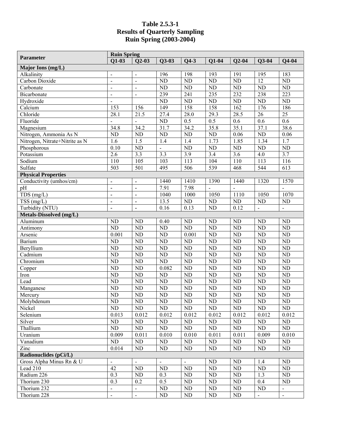#### **Table 2.5.3-1 Results of Quarterly Sampling Ruin Spring (2003-2004)**

| <b>Parameter</b>               | <b>Ruin Spring</b> |                              |                        |                        |                        |                  |                        |                  |
|--------------------------------|--------------------|------------------------------|------------------------|------------------------|------------------------|------------------|------------------------|------------------|
|                                | $Q1-03$            | $Q2-03$                      | $Q3-03$                | $Q4-3$                 | $Q1-04$                | $Q2-04$          | $Q3-04$                | $Q4-04$          |
| Major Ions (mg/L)              |                    |                              |                        |                        |                        |                  |                        |                  |
| Alkalinity                     | $\blacksquare$     |                              | 196                    | 198                    | 193                    | 191              | 195                    | 183              |
| Carbon Dioxide                 | $\overline{a}$     |                              | $\overline{ND}$        | $\overline{ND}$        | $\overline{ND}$        | ND               | $\overline{12}$        | ND               |
| Carbonate                      | $\frac{1}{2}$      | $\qquad \qquad \blacksquare$ | N <sub>D</sub>         | <b>ND</b>              | N <sub>D</sub>         | ND               | ND                     | N <sub>D</sub>   |
| Bicarbonate                    | $\overline{a}$     | $\overline{a}$               | 239                    | 241                    | 235                    | 232              | 238                    | 223              |
| Hydroxide                      | $\overline{a}$     |                              | ND                     | <b>ND</b>              | ND                     | $\overline{ND}$  | <b>ND</b>              | $\overline{ND}$  |
| Calcium                        | 153                | 156                          | 149                    | 158                    | 158                    | $\overline{162}$ | 176                    | 186              |
| Chloride                       | 28.1               | 21.5                         | 27.4                   | 28.0                   | 29.3                   | 28.5             | 26                     | $\overline{25}$  |
| Fluoride                       |                    |                              | ND                     | 0.5                    | $\overline{0.5}$       | 0.6              | 0.6                    | $\overline{0.6}$ |
| Magnesium                      | 34.8               | 34.2                         | 31.7                   | 34.2                   | 35.8                   | 35.1             | 37.1                   | 38.6             |
| Nitrogen, Ammonia As N         | $\overline{ND}$    | <b>ND</b>                    | N <sub>D</sub>         | N <sub>D</sub>         | ND                     | 0.06             | ND                     | 0.06             |
| Nitrogen, Nitrate+Nitrite as N | 1.6                | $\overline{1.5}$             | 1.4                    | 1.4                    | 1.73                   | 1.85             | 1.34                   | $\overline{1.7}$ |
| Phosphorous                    | 0.10               | <b>ND</b>                    | $\overline{a}$         | <b>ND</b>              | ND                     | ND               | ND                     | ND               |
| Potassium                      | 2.6                | $\overline{3.3}$             | $\overline{3.3}$       | $\overline{3.9}$       | 3.4                    | $\overline{3.6}$ | 4.0                    | $\overline{3.7}$ |
| Sodium                         | 110                | 105                          | 103                    | $\overline{113}$       | 104                    | 110              | 113                    | 116              |
| Sulfate                        | $\overline{503}$   | 501                          | 495                    | 506                    | 539                    | 468              | 544                    | 613              |
| <b>Physical Properties</b>     |                    |                              |                        |                        |                        |                  |                        |                  |
| Conductivity (umhos/cm)        | $\blacksquare$     | $\qquad \qquad \blacksquare$ | 1440                   | 1410                   | 1390                   | 1440             | 1320                   | 1570             |
| pH                             | l,                 | $\overline{a}$               | 7.91                   | 7.98                   |                        |                  |                        |                  |
| TDS(mg/L)                      | ÷,                 | $\blacksquare$               | 1040                   | 1000                   | 1050                   | 1110             | 1050                   | 1070             |
| $TSS$ (mg/L)                   | ÷,                 | $\blacksquare$               | 13.5                   | ND                     | ND                     | ND               | ND                     | ${\rm ND}$       |
| Turbidity (NTU)                | ÷,                 |                              | 0.16                   | 0.13                   | <b>ND</b>              | 0.12             | $\overline{a}$         |                  |
| Metals-Dissolved (mg/L)        |                    |                              |                        |                        |                        |                  |                        |                  |
| Aluminum                       | ND                 | <b>ND</b>                    | 0.40                   | <b>ND</b>              | ND                     | <b>ND</b>        | ND                     | ND               |
| Antimony                       | $\overline{ND}$    | <b>ND</b>                    | ND                     | <b>ND</b>              | ND                     | ND               | <b>ND</b>              | N <sub>D</sub>   |
| Arsenic                        | 0.001              | <b>ND</b>                    | ND                     | 0.001                  | ND                     | ND               | <b>ND</b>              | N <sub>D</sub>   |
| <b>Barium</b>                  | $\overline{ND}$    | <b>ND</b>                    | N <sub>D</sub>         | <b>ND</b>              | N <sub>D</sub>         | $\overline{ND}$  | $\overline{ND}$        | N <sub>D</sub>   |
| Beryllium                      | $\overline{ND}$    | <b>ND</b>                    | ND                     | ND                     | ND                     | $\overline{ND}$  | N <sub>D</sub>         | N <sub>D</sub>   |
| Cadmium                        | $\overline{ND}$    | <b>ND</b>                    | N <sub>D</sub>         | <b>ND</b>              | N <sub>D</sub>         | ND               | <b>ND</b>              | N <sub>D</sub>   |
| Chromium                       | $\overline{ND}$    | <b>ND</b>                    | ND                     | <b>ND</b>              | ND                     | ND               | <b>ND</b>              | N <sub>D</sub>   |
| Copper                         | $\overline{ND}$    | <b>ND</b>                    | 0.082                  | <b>ND</b>              | ND                     | $\overline{ND}$  | <b>ND</b>              | N <sub>D</sub>   |
| Iron                           | $\overline{ND}$    | <b>ND</b>                    | <b>ND</b>              | <b>ND</b>              | ND                     | $\overline{ND}$  | <b>ND</b>              | N <sub>D</sub>   |
| Lead                           | $\overline{ND}$    | <b>ND</b>                    | ND                     | <b>ND</b>              | ND                     | ND               | <b>ND</b>              | N <sub>D</sub>   |
| Manganese                      | $\overline{ND}$    | <b>ND</b>                    | ND                     | <b>ND</b>              | ND                     | N <sub>D</sub>   | <b>ND</b>              | ND               |
| Mercury                        | $\overline{ND}$    | <b>ND</b>                    | ND                     | <b>ND</b>              | ND                     | N <sub>D</sub>   | <b>ND</b>              | ND               |
| Molybdenum                     | ND                 | $\overline{\text{ND}}$       | $\overline{\text{ND}}$ | $\overline{\text{ND}}$ | $\overline{\text{ND}}$ | ND               | $\overline{\text{ND}}$ | ND               |
| Nickel                         | $\rm ND$           | ND                           | ND                     | ND                     | ND                     | ND               | ND                     | ND               |
| Selenium                       | 0.013              | 0.012                        | 0.012                  | 0.012                  | 0.012                  | 0.012            | 0.012                  | 0.012            |
| Silver                         | $\rm ND$           | $\rm ND$                     | $\rm ND$               | ${\rm ND}$             | ND                     | ND               | $\rm ND$               | ND               |
| Thallium                       | $\overline{ND}$    | $\rm ND$                     | $\rm ND$               | $\rm ND$               | $\rm ND$               | ${\rm ND}$       | $\rm ND$               | ND               |
| Uranium                        | 0.009              | 0.011                        | 0.010                  | 0.010                  | 0.011                  | 0.011            | 0.009                  | 0.010            |
| Vanadium                       | ND                 | $\rm ND$                     | $\rm ND$               | ND                     | ND                     | $\rm ND$         | $\rm ND$               | ND               |
| Zinc                           | 0.014              | $\rm ND$                     | ND                     | ND                     | ND                     | $\rm ND$         | ND                     | ND               |
| Radionuclides (pCi/L)          |                    |                              |                        |                        |                        |                  |                        |                  |
| Gross Alpha Minus Rn & U       | $\blacksquare$     |                              | $\blacksquare$         |                        | ND                     | ND               | 1.4                    | ND               |
| Lead $210$                     | $\overline{42}$    | $\rm ND$                     | ND                     | $\rm ND$               | ND                     | ND               | ND                     | $\rm ND$         |
| Radium 226                     | $\overline{0.3}$   | ND                           | 0.3                    | $\rm ND$               | ND                     | $\rm ND$         | 1.3                    | ND               |
| Thorium 230                    | 0.3                | 0.2                          | 0.5                    | $\rm ND$               | ND                     | ${\rm ND}$       | 0.4                    | ND               |
| Thorium 232                    |                    | $\blacksquare$               | ${\rm ND}$             | $\rm ND$               | $\rm ND$               | ${\rm ND}$       | ND                     | $\Box$           |
| Thorium 228                    | $\overline{a}$     | $\overline{\phantom{0}}$     | $\rm ND$               | ND                     | ND                     | ND               | $\blacksquare$         | $\frac{1}{2}$    |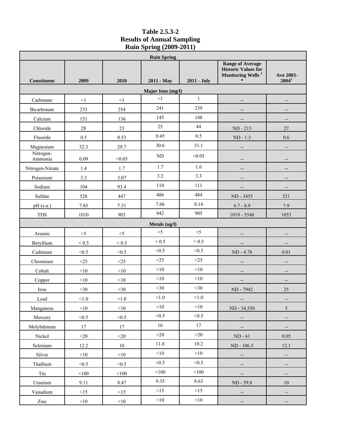# **Table 2.5.3-2 Results of Annual Sampling Ruin Spring (2009-2011)**

|                      | <b>Ruin Spring</b> |            |               |              |                                                                                        |                          |  |  |  |  |
|----------------------|--------------------|------------|---------------|--------------|----------------------------------------------------------------------------------------|--------------------------|--|--|--|--|
|                      |                    |            |               |              | <b>Range of Average</b><br><b>Historic Values for</b><br>Monitoring Wells <sup>1</sup> | Ave 2003-                |  |  |  |  |
| Constituent          | 2009               | 2010       | 2011 - May    | 2011 - July  | ∗                                                                                      | $2004^2$                 |  |  |  |  |
|                      | Major Ions (mg/l)  |            |               |              |                                                                                        |                          |  |  |  |  |
| Carbonate            | $\leq$ 1           | <1         | <1            | $\mathbf{1}$ | --                                                                                     |                          |  |  |  |  |
| Bicarbonate          | 233                | 254        | 241           | 239          | --                                                                                     | $\overline{\phantom{a}}$ |  |  |  |  |
| Calcium              | 151                | 136        | 145           | 148          |                                                                                        | --                       |  |  |  |  |
| Chloride             | 28                 | 23         | 25            | 44           | $ND - 213$                                                                             | 27                       |  |  |  |  |
| Fluoride             | 0.5                | 0.53       | 0.45          | 0.5          | $ND - 1.3$                                                                             | $0.6\,$                  |  |  |  |  |
| Magnesium            | 32.3               | 29.7       | 30.6          | 31.1         | $\overline{\phantom{a}}$                                                               | $\overline{\phantom{m}}$ |  |  |  |  |
| Nitrogen-<br>Ammonia | 0.09               | < 0.05     | ND            | < 0.05       |                                                                                        |                          |  |  |  |  |
| Nitrogen-Nitrate     | 1.4                | 1.7        | 1.7           | 1.6          |                                                                                        | $\overline{\phantom{a}}$ |  |  |  |  |
| Potassium            | 3.3                | 3.07       | 3.2           | 3.3          | $\overline{\phantom{a}}$                                                               | $\overline{\phantom{a}}$ |  |  |  |  |
| Sodium               | 104                | 93.4       | 110           | 111          | --                                                                                     | $\overline{\phantom{a}}$ |  |  |  |  |
| Sulfate              | 528                | 447        | 486           | 484          | ND - 3455                                                                              | 521                      |  |  |  |  |
| pH (s.u.)            | 7.85               | 7.51       | 7.66          | 8.14         | $6.7 - 8.9$                                                                            | 7.9                      |  |  |  |  |
| <b>TDS</b>           | 1010               | 903        | 942           | 905          | 1019 - 5548                                                                            | 1053                     |  |  |  |  |
|                      |                    |            | Metals (ug/l) |              |                                                                                        |                          |  |  |  |  |
| Arsenic              | $<\!\!5$           | $<\!\!5$   | $<$ 5         | $<$ 5        |                                                                                        |                          |  |  |  |  |
| Beryllium            | $< 0.5$            | $\leq 0.5$ | < 0.5         | < 0.5        | --                                                                                     | $\overline{\phantom{a}}$ |  |  |  |  |
| Cadmium              | < 0.5              | < 0.5      | < 0.5         | < 0.5        | ND - 4.78                                                                              | 0.01                     |  |  |  |  |
| Chromium             | $<$ 25             | $<$ 25     | <25           | <25          | $\overline{\phantom{a}}$                                                               | $\overline{\phantom{a}}$ |  |  |  |  |
| Cobalt               | <10                | <10        | $<\!\!10$     | <10          | --                                                                                     | $\overline{\phantom{a}}$ |  |  |  |  |
| Copper               | <10                | <10        | <10           | <10          |                                                                                        | $-$                      |  |  |  |  |
| Iron                 | $<$ 30             | $<$ 30     | $<$ 30        | $30$         | ND - 7942                                                                              | 25                       |  |  |  |  |
| Lead                 | < 1.0              | < 1.0      | $<1.0$        | $<1.0$       | --                                                                                     | $\overline{\phantom{a}}$ |  |  |  |  |
| Manganese            | $<\!\!10$          | $<$ 10     | $<\!\!10$     | $<$ 10       | ND - 34,550                                                                            | $5\,$                    |  |  |  |  |
| Mercury              | < 0.5              | < 0.5      | < 0.5         | < 0.5        | --                                                                                     | $\overline{\phantom{a}}$ |  |  |  |  |
| Molybdenum           | 17                 | 17         | 16            | 17           | --                                                                                     | --                       |  |  |  |  |
| Nickel               | $<$ 20             | $<$ 20     | $<$ 20        | $<$ 20       | $ND - 61$                                                                              | 0.05                     |  |  |  |  |
| Selenium             | 12.2               | $10\,$     | 11.8          | 10.2         | ND - 106.5                                                                             | 12.1                     |  |  |  |  |
| Silver               | $<$ 10             | $<$ 10     | <10           | <10          | $\overline{\phantom{m}}$                                                               | $\overline{\phantom{a}}$ |  |  |  |  |
| Thallium             | < 0.5              | < 0.5      | < 0.5         | < 0.5        | --                                                                                     | $\overline{\phantom{a}}$ |  |  |  |  |
| Tin                  | $<100$             | $<\!\!100$ | $<\!\!100$    | $<100$       | --                                                                                     | $\overline{\phantom{a}}$ |  |  |  |  |
| Uranium              | 9.11               | 8.47       | 9.35          | 8.63         | ND - 59.8                                                                              | 10                       |  |  |  |  |
| Vanadium             | <15                | <15        | <15           | <15          | --                                                                                     | $\overline{\phantom{m}}$ |  |  |  |  |
| Zinc                 | $<$ 10             | $<$ 10     | $<$ 10        | $<$ 10       | $\overline{\phantom{m}}$                                                               | $\overline{\phantom{a}}$ |  |  |  |  |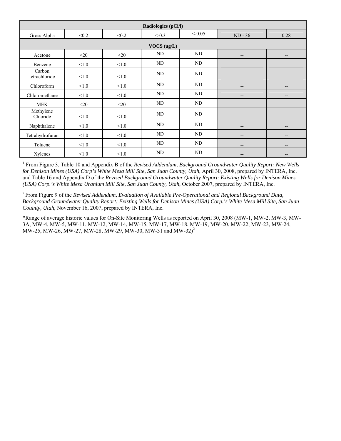| Radiologics (pCi/l)     |             |        |         |          |                          |                          |  |  |  |
|-------------------------|-------------|--------|---------|----------|--------------------------|--------------------------|--|--|--|
| Gross Alpha             | < 0.2       | < 0.2  | $<-0.3$ | $<-0.05$ | $ND - 36$                | 0.28                     |  |  |  |
|                         | VOCS (ug/L) |        |         |          |                          |                          |  |  |  |
| Acetone                 | $20$        | $<$ 20 | ND      | ND       | $\qquad \qquad -$        | $\overline{\phantom{a}}$ |  |  |  |
| Benzene                 | < 1.0       | < 1.0  | ND      | ND       | $\qquad \qquad \cdots$   | $\overline{\phantom{a}}$ |  |  |  |
| Carbon<br>tetrachloride | < 1.0       | < 1.0  | ND      | ND       | $\qquad \qquad -$        | $- -$                    |  |  |  |
| Chloroform              | < 1.0       | < 1.0  | ND      | ND       | $\overline{\phantom{a}}$ | $\overline{\phantom{a}}$ |  |  |  |
| Chloromethane           | < 1.0       | < 1.0  | ND      | ND       | $\qquad \qquad -$        | $\overline{\phantom{a}}$ |  |  |  |
| <b>MEK</b>              | $20$        | $<$ 20 | ND      | ND       | $\qquad \qquad -$        | $\overline{\phantom{a}}$ |  |  |  |
| Methylene<br>Chloride   | $<1.0$      | < 1.0  | ND      | ND       | --                       | --                       |  |  |  |
| Naphthalene             | < 1.0       | < 1.0  | ND      | ND       | $\overline{\phantom{a}}$ | $\qquad \qquad -$        |  |  |  |
| Tetrahydrofuran         | < 1.0       | < 1.0  | ND      | ND       | $\overline{\phantom{a}}$ | $\overline{\phantom{a}}$ |  |  |  |
| Toluene                 | < 1.0       | < 1.0  | ND      | ND       | $\overline{\phantom{m}}$ | $\overline{\phantom{a}}$ |  |  |  |
| Xylenes                 | < 1.0       | < 1.0  | ND      | ND       | --                       | $\overline{\phantom{a}}$ |  |  |  |

<sup>1</sup> From Figure 3, Table 10 and Appendix B of the *Revised Addendum, Background Groundwater Quality Report: New Wells for Denison Mines (USA) Corp's White Mesa Mill Site, San Juan County, Utah*, April 30, 2008, prepared by INTERA, Inc. and Table 16 and Appendix D of the *Revised Background Groundwater Quality Report: Existing Wells for Denison Mines (USA) Corp.'s White Mesa Uranium Mill Site, San Juan County, Utah*, October 2007, prepared by INTERA, Inc.

2 From Figure 9 of the *Revised Addendum, Evaluation of Available Pre-Operational and Regional Background Data, Background Groundwater Quality Report: Existing Wells for Denison Mines (USA) Corp.'s White Mesa Mill Site, San Juan Couinty, Utah*, November 16, 2007, prepared by INTERA, Inc.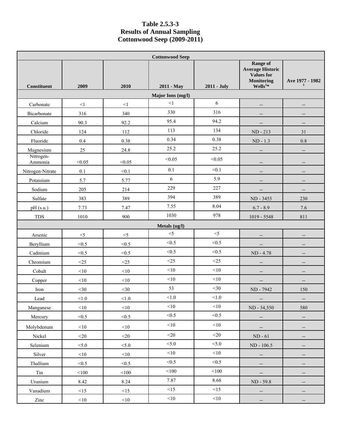#### **Table 2.5.3-3 Results of Annual Sampling Cottonwood Seep (2009-2011)**

|                      | <b>Cottonwood Seep</b> |          |                   |             |                                                                                            |                                 |  |
|----------------------|------------------------|----------|-------------------|-------------|--------------------------------------------------------------------------------------------|---------------------------------|--|
| Constituent          | 2009                   | 2010     | 2011 - May        | 2011 - July | Range of<br><b>Average Historic</b><br><b>Values for</b><br><b>Monitoring</b><br>$Wells1*$ | Ave 1977 - 1982<br>$\mathbf{1}$ |  |
|                      |                        |          | Major Ions (mg/l) |             |                                                                                            |                                 |  |
| Carbonate            | $<1\,$                 | $<1\,$   | $\leq$ 1          | 6           | $\overline{\phantom{a}}$                                                                   |                                 |  |
| Bicarbonate          | 316                    | 340      | 330               | 316         | --                                                                                         | $\overline{\phantom{a}}$        |  |
| Calcium              | 90.3                   | 92.2     | 95.4              | 94.2        | --                                                                                         |                                 |  |
| Chloride             | 124                    | 112      | 113               | 134         | ND - 213                                                                                   | 31                              |  |
| Fluoride             | 0.4                    | 0.38     | 0.34              | 0.38        | $ND - 1.3$                                                                                 | $0.8\,$                         |  |
| Magnesium            | 25                     | 24.8     | 25.2              | 25.2        | --                                                                                         | $\overline{\phantom{a}}$        |  |
| Nitrogen-<br>Ammonia | < 0.05                 | < 0.05   | < 0.05            | < 0.05      | $\overline{\phantom{a}}$                                                                   |                                 |  |
| Nitrogen-Nitrate     | 0.1                    | < 0.1    | 0.1               | < 0.1       | --                                                                                         | $-$                             |  |
| Potassium            | 5.7                    | 5.77     | 6                 | 5.9         | --                                                                                         | $\qquad \qquad -$               |  |
| Sodium               | 205                    | 214      | 229               | 227         | --                                                                                         | $-$                             |  |
| Sulfate              | 383                    | 389      | 394               | 389         | ND - 3455                                                                                  | 230                             |  |
| pH (s.u.)            | 7.73                   | 7.47     | 7.55              | 8.04        | $6.7 - 8.9$                                                                                | 7.6                             |  |
| TDS                  | 1010                   | 900      | 1030              | 978         | $1019 - 5548$                                                                              | 811                             |  |
|                      |                        |          | Metals (ug/l)     |             |                                                                                            |                                 |  |
| Arsenic              | $<$ 5                  | $<\!\!5$ | $<$ 5             | $<$ 5       | $\overline{\phantom{a}}$                                                                   | $-$                             |  |
| Beryllium            | < 0.5                  | < 0.5    | < 0.5             | < 0.5       | $\overline{\phantom{a}}$                                                                   | $\overline{\phantom{a}}$        |  |
| Cadmium              | < 0.5                  | < 0.5    | < 0.5             | < 0.5       | ND - 4.78                                                                                  | $-$                             |  |
| Chromium             | <25                    | <25      | <25               | <25         | --                                                                                         |                                 |  |
| Cobalt               | <10                    | <10      | <10               | <10         | $\qquad \qquad -$                                                                          | $-$                             |  |
| Copper               | $<\!\!10$              | <10      | $<\!\!10$         | <10         | --                                                                                         | $\overline{\phantom{a}}$        |  |
| Iron                 | $<$ 30                 | $<$ 30   | 53                | $<$ 30      | ND - 7942                                                                                  | 150                             |  |
| Lead                 | < 1.0                  | $<1.0$   | $<1.0$            | < 1.0       | $- \hspace{0.1em} -$                                                                       | $-\hbox{--}$                    |  |
| Manganese            | $<$ 10                 | < 10     | $<\!\!10$         | $<\!\!10$   | ND - 34,550                                                                                | 580                             |  |
| Mercury              | < 0.5                  | < 0.5    | < 0.5             | < 0.5       | --                                                                                         | $\overline{\phantom{a}}$        |  |
| Molybdenum           | $<$ 10                 | $<$ 10   | $<$ 10            | $<\!\!10$   | $\overline{\phantom{a}}$                                                                   | --                              |  |
| Nickel               | $<$ 20                 | $<$ 20   | $<$ 20            | $<$ 20      | $ND - 61$                                                                                  | $-\hbox{--}$                    |  |
| Selenium             | < 5.0                  | < 5.0    | < 5.0             | < 5.0       | ND - 106.5                                                                                 | $\qquad \qquad -$               |  |
| Silver               | $<$ 10                 | < 10     | <10               | <10         | $\overline{\phantom{a}}$                                                                   | $\overline{\phantom{a}}$        |  |
| Thallium             | < 0.5                  | < 0.5    | < 0.5             | < 0.5       | $\overline{\phantom{a}}$                                                                   | $\qquad \qquad -$               |  |
| $\rm{T}$             | $<\!\!100$             | $<$ 100  | < 100             | $<100$      | --                                                                                         | $\overline{\phantom{a}}$        |  |
| Uranium              | 8.42                   | 8.24     | 7.87              | 8.68        | ND - 59.8                                                                                  | $\overline{\phantom{a}}$        |  |
| Vanadium             | <15                    | <15      | <15               | <15         | н,                                                                                         | $\overline{\phantom{a}}$        |  |
| Zinc                 | $<\!\!10$              | $<$ 10   | $<$ 10            | $<\!\!10$   | --                                                                                         | --                              |  |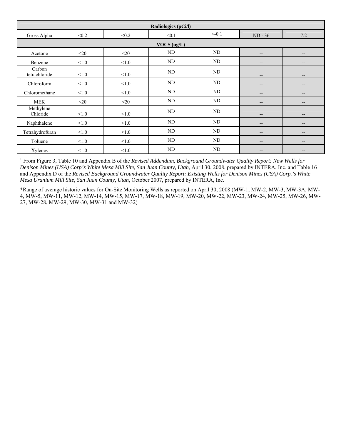| Radiologics (pCi/l)     |        |        |             |         |                   |                   |
|-------------------------|--------|--------|-------------|---------|-------------------|-------------------|
| Gross Alpha             | < 0.2  | < 0.2  | < 0.1       | $<-0.1$ | $ND - 36$         | 7.2               |
|                         |        |        | VOCS (ug/L) |         |                   |                   |
| Acetone                 | $<$ 20 | $<$ 20 | ND          | ND      | --                | $\qquad \qquad -$ |
| Benzene                 | < 1.0  | < 1.0  | ND          | ND      | $\qquad \qquad -$ | $\qquad \qquad -$ |
| Carbon<br>tetrachloride | < 1.0  | < 1.0  | ND          | ND      | $- -$             | $- -$             |
| Chloroform              | < 1.0  | < 1.0  | ND          | ND      | $\qquad \qquad -$ | $\qquad \qquad -$ |
| Chloromethane           | < 1.0  | < 1.0  | ND          | ND      | --                | $\qquad \qquad -$ |
| <b>MEK</b>              | $<$ 20 | $<$ 20 | ND          | ND      | $\qquad \qquad -$ | $\qquad \qquad -$ |
| Methylene<br>Chloride   | < 1.0  | < 1.0  | ND          | ND      | $- -$             | $- -$             |
| Naphthalene             | < 1.0  | $<1.0$ | ND          | ND      | $- -$             | $\qquad \qquad -$ |
| Tetrahydrofuran         | < 1.0  | < 1.0  | ND          | ND      | --                | $\qquad \qquad -$ |
| Toluene                 | < 1.0  | < 1.0  | ND          | ND      | --                | $\qquad \qquad -$ |
| Xylenes                 | < 1.0  | $<1.0$ | ND          | ND      | --                | $\qquad \qquad -$ |

<sup>1</sup> From Figure 3, Table 10 and Appendix B of the *Revised Addendum, Background Groundwater Quality Report: New Wells for Denison Mines (USA) Corp's White Mesa Mill Site, San Juan County, Utah*, April 30, 2008, prepared by INTERA, Inc. and Table 16 and Appendix D of the *Revised Background Groundwater Quality Report: Existing Wells for Denison Mines (USA) Corp.'s White Mesa Uranium Mill Site, San Juan County, Utah*, October 2007, prepared by INTERA, Inc.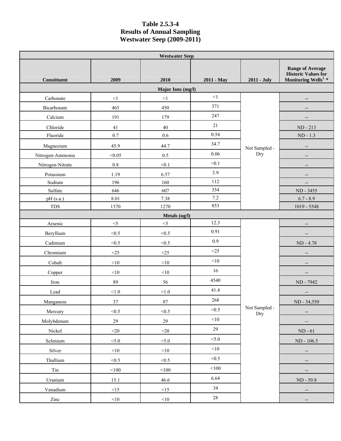#### **Table 2.5.3-4 Results of Annual Sampling Westwater Seep (2009-2011)**

| <b>Westwater Seep</b> |            |                   |            |                      |                                                                                      |  |  |  |
|-----------------------|------------|-------------------|------------|----------------------|--------------------------------------------------------------------------------------|--|--|--|
| <b>Constituent</b>    | 2009       | 2010              | 2011 - May | 2011 - July          | <b>Range of Average</b><br><b>Historic Values for Monitoring Wells<sup>1</sup></b> * |  |  |  |
|                       |            | Major Ions (mg/l) |            |                      |                                                                                      |  |  |  |
| Carbonate             | $<1\,$     | $<\!1$            | $<\!\!1$   |                      | --                                                                                   |  |  |  |
| Bicarbonate           | 465        | 450               | 371        |                      |                                                                                      |  |  |  |
| Calcium               | 191        | 179               | 247        |                      |                                                                                      |  |  |  |
| Chloride              | 41         | 40                | 21         |                      | ND - 213                                                                             |  |  |  |
| Fluoride              | 0.7        | $0.6\,$           | 0.54       |                      | $ND - 1.3$                                                                           |  |  |  |
| Magnesium             | 45.9       | 44.7              | 34.7       | Not Sampled -        | $\overline{\phantom{a}}$                                                             |  |  |  |
| Nitrogen-Ammonia      | < 0.05     | 0.5               | 0.06       | Dry                  | $\overline{\phantom{a}}$                                                             |  |  |  |
| Nitrogen-Nitrate      | $0.8\,$    | < 0.1             | < 0.1      |                      |                                                                                      |  |  |  |
| Potassium             | 1.19       | 6.57              | 3.9        |                      |                                                                                      |  |  |  |
| Sodium                | 196        | 160               | 112        |                      | $\overline{\phantom{a}}$                                                             |  |  |  |
| Sulfate               | 646        | 607               | 354        |                      | ND - 3455                                                                            |  |  |  |
| pH (s.u.)             | 8.01       | 7.38              | $7.2\,$    |                      | $6.7 - 8.9$                                                                          |  |  |  |
| <b>TDS</b>            | 1370       | 1270              | 853        |                      | $1019 - 5548$                                                                        |  |  |  |
| Metals (ug/l)         |            |                   |            |                      |                                                                                      |  |  |  |
| Arsenic               | $<$ 5      | $<$ 5             | 12.3       |                      |                                                                                      |  |  |  |
| Beryllium             | < 0.5      | < 0.5             | 0.91       |                      |                                                                                      |  |  |  |
| Cadmium               | < 0.5      | < 0.5             | 0.9        |                      | ND - 4.78                                                                            |  |  |  |
| Chromium              | $<25$      | $<\!\!25$         | <25        |                      |                                                                                      |  |  |  |
| Cobalt                | $<\!\!10$  | <10               | $<$ 10     |                      | --                                                                                   |  |  |  |
| Copper                | $<\!\!10$  | $<\!\!10$         | 16         |                      | $\overline{\phantom{a}}$                                                             |  |  |  |
| Iron                  | 89         | 56                | 4540       |                      | ND - 7942                                                                            |  |  |  |
| Lead                  | < 1.0      | < 1.0             | 41.4       |                      |                                                                                      |  |  |  |
| Manganese             | $37\,$     | $87\,$            | 268        |                      | ND - 34,550                                                                          |  |  |  |
| Mercury               | < 0.5      | < 0.5             | < 0.5      | Not Sampled -<br>Dry | $\overline{\phantom{a}}$                                                             |  |  |  |
| Molybdenum            | 29         | 29                | $<$ 10     |                      |                                                                                      |  |  |  |
| Nickel                | $<$ 20     | $<$ 20            | 29         |                      | ${\rm ND}$ - $61$                                                                    |  |  |  |
| Selenium              | < 5.0      | < 5.0             | < 5.0      |                      | ND - 106.5                                                                           |  |  |  |
| Silver                | $<$ 10     | $<$ 10            | $<$ 10     |                      | --                                                                                   |  |  |  |
| Thallium              | < 0.5      | < 0.5             | < 0.5      |                      |                                                                                      |  |  |  |
| Tin                   | $<\!\!100$ | $<\!\!100$        | < 100      |                      |                                                                                      |  |  |  |
| Uranium               | 15.1       | 46.6              | 6.64       |                      | ND - 59.8                                                                            |  |  |  |
| Vanadium              | $\leq$ 15  | $<15$             | 34         |                      | $\overline{\phantom{a}}$                                                             |  |  |  |
| Zinc                  | $<$ 10     | $<$ 10            | 28         |                      | $\overline{\phantom{a}}$                                                             |  |  |  |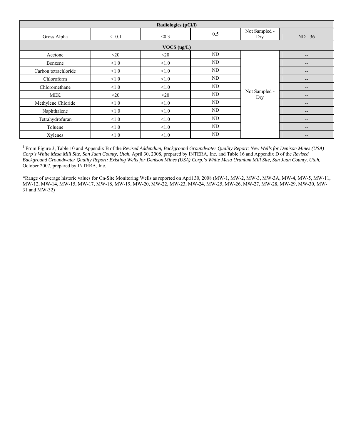| Radiologics (pCi/l)  |          |             |          |                      |                                                                                                   |  |  |
|----------------------|----------|-------------|----------|----------------------|---------------------------------------------------------------------------------------------------|--|--|
| Gross Alpha          | $< -0.1$ | < 0.3       | 0.5      | Not Sampled -<br>Dry | $ND - 36$                                                                                         |  |  |
|                      |          | VOCS (ug/L) |          |                      |                                                                                                   |  |  |
| Acetone              | $20$     | $<$ 20      | ND       |                      | $\hspace{0.05cm} \hspace{0.02cm} \hspace{0.02cm} \hspace{0.02cm} \hspace{0.02cm} \hspace{0.02cm}$ |  |  |
| Benzene              | < 1.0    | < 1.0       | ND       |                      | $\overline{\phantom{a}}$                                                                          |  |  |
| Carbon tetrachloride | < 1.0    | < 1.0       | ND       |                      | $\overline{\phantom{a}}$                                                                          |  |  |
| Chloroform           | < 1.0    | < 1.0       | ND       |                      | $\overline{\phantom{a}}$                                                                          |  |  |
| Chloromethane        | < 1.0    | < 1.0       | $\rm ND$ |                      | $\overline{\phantom{a}}$                                                                          |  |  |
| <b>MEK</b>           | $20$     | $<$ 20      | ND       | Not Sampled -<br>Dry | $\overline{\phantom{a}}$                                                                          |  |  |
| Methylene Chloride   | < 1.0    | < 1.0       | ND       |                      | $\overline{\phantom{a}}$                                                                          |  |  |
| Naphthalene          | < 1.0    | < 1.0       | ND       |                      | $\hspace{0.05cm} \hspace{0.02cm} \hspace{0.02cm} \hspace{0.02cm} \hspace{0.02cm} \hspace{0.02cm}$ |  |  |
| Tetrahydrofuran      | < 1.0    | < 1.0       | ND       |                      | $\overline{\phantom{a}}$                                                                          |  |  |
| Toluene              | $<1.0$   | < 1.0       | ND       |                      | $\overline{\phantom{a}}$                                                                          |  |  |
| Xylenes              | < 1.0    | < 1.0       | ND       |                      | $\overline{\phantom{a}}$                                                                          |  |  |

<sup>1</sup> From Figure 3, Table 10 and Appendix B of the *Revised Addendum, Background Groundwater Quality Report: New Wells for Denison Mines (USA) Corp's White Mesa Mill Site, San Juan County, Utah*, April 30, 2008, prepared by INTERA, Inc. and Table 16 and Appendix D of the *Revised Background Groundwater Quality Report: Existing Wells for Denison Mines (USA) Corp.'s White Mesa Uranium Mill Site, San Juan County, Utah*, October 2007, prepared by INTERA, Inc.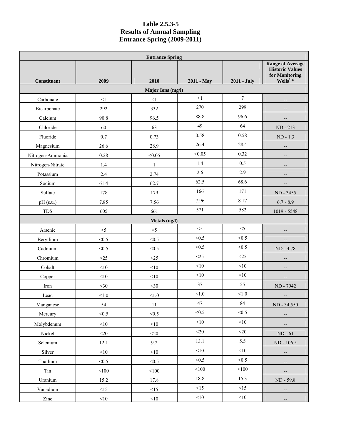## **Table 2.5.3-5 Results of Annual Sampling Entrance Spring (2009-2011)**

|                    | <b>Entrance Spring</b> |               |            |                |                                                                                               |  |  |  |  |  |
|--------------------|------------------------|---------------|------------|----------------|-----------------------------------------------------------------------------------------------|--|--|--|--|--|
| <b>Constituent</b> | 2009                   | 2010          | 2011 - May | 2011 - July    | <b>Range of Average</b><br><b>Historic Values</b><br>for Monitoring<br>Wells <sup>1</sup> $*$ |  |  |  |  |  |
|                    | Major Ions (mg/l)      |               |            |                |                                                                                               |  |  |  |  |  |
| Carbonate          | $\leq$ 1               | $\leq$ 1      | $\leq$ 1   | $\overline{7}$ |                                                                                               |  |  |  |  |  |
| Bicarbonate        | 292                    | 332           | 270        | 299            |                                                                                               |  |  |  |  |  |
| Calcium            | 90.8                   | 96.5          | 88.8       | 96.6           |                                                                                               |  |  |  |  |  |
| Chloride           | 60                     | 63            | 49         | 64             | ND - 213                                                                                      |  |  |  |  |  |
| Fluoride           | 0.7                    | 0.73          | 0.58       | 0.58           | $ND - 1.3$                                                                                    |  |  |  |  |  |
| Magnesium          | 26.6                   | 28.9          | 26.4       | 28.4           |                                                                                               |  |  |  |  |  |
| Nitrogen-Ammonia   | 0.28                   | < 0.05        | < 0.05     | 0.32           |                                                                                               |  |  |  |  |  |
| Nitrogen-Nitrate   | 1.4                    | $\mathbf{1}$  | 1.4        | 0.5            |                                                                                               |  |  |  |  |  |
| Potassium          | 2.4                    | 2.74          | 2.6        | 2.9            | --                                                                                            |  |  |  |  |  |
| Sodium             | 61.4                   | 62.7          | 62.5       | 68.6           |                                                                                               |  |  |  |  |  |
| Sulfate            | 178                    | 179           | 166        | 171            | ND - 3455                                                                                     |  |  |  |  |  |
| pH (s.u.)          | 7.85                   | 7.56          | 7.96       | 8.17           | $6.7 - 8.9$                                                                                   |  |  |  |  |  |
| <b>TDS</b>         | 605                    | 661           | 571        | 582            | 1019 - 5548                                                                                   |  |  |  |  |  |
|                    |                        | Metals (ug/l) |            |                |                                                                                               |  |  |  |  |  |
| Arsenic            | $<\!\!5$               | $<$ 5         | $<$ 5      | $<$ 5          |                                                                                               |  |  |  |  |  |
| Beryllium          | < 0.5                  | < 0.5         | < 0.5      | < 0.5          |                                                                                               |  |  |  |  |  |
| Cadmium            | < 0.5                  | < 0.5         | < 0.5      | < 0.5          | ND - 4.78                                                                                     |  |  |  |  |  |
| Chromium           | $<$ 25                 | $<$ 25        | <25        | <25            |                                                                                               |  |  |  |  |  |
| Cobalt             | <10                    | $<\!\!10$     | $<\!\!10$  | $<\!\!10$      |                                                                                               |  |  |  |  |  |
| Copper             | < 10                   | <10           | $<\!\!10$  | $<\!\!10$      |                                                                                               |  |  |  |  |  |
| Iron               | $<$ 30                 | $<$ 30        | 37         | 55             | ND - 7942                                                                                     |  |  |  |  |  |
| Lead               | < 1.0                  | < 1.0         | < 1.0      | < 1.0          |                                                                                               |  |  |  |  |  |
| Manganese          | 54                     | $11\,$        | 47         | $\bf 84$       | ND - 34,550                                                                                   |  |  |  |  |  |
| Mercury            | < 0.5                  | < 0.5         | < 0.5      | < 0.5          | --                                                                                            |  |  |  |  |  |
| Molybdenum         | $<\!\!10$              | <10           | $<\!\!10$  | $<\!\!10$      |                                                                                               |  |  |  |  |  |
| Nickel             | $<$ 20                 | $<$ 20        | $<$ 20     | $<$ 20         | $ND - 61$                                                                                     |  |  |  |  |  |
| Selenium           | 12.1                   | 9.2           | 13.1       | 5.5            | ND - 106.5                                                                                    |  |  |  |  |  |
| Silver             | $<$ 10                 | $<$ 10        | <10        | $<\!\!10$      |                                                                                               |  |  |  |  |  |
| Thallium           | < 0.5                  | < 0.5         | < 0.5      | < 0.5          | $\overline{\phantom{a}}$                                                                      |  |  |  |  |  |
| Tin                | $<100$                 | $<$ 100       | $<\!\!100$ | $<$ 100        | --                                                                                            |  |  |  |  |  |
| Uranium            | 15.2                   | 17.8          | 18.8       | 15.3           | ND - 59.8                                                                                     |  |  |  |  |  |
| Vanadium           | <15                    | <15           | <15        | <15            | --                                                                                            |  |  |  |  |  |
| Zinc               | <10                    | $<\!\!10$     | $<\!\!10$  | $<\!\!10$      |                                                                                               |  |  |  |  |  |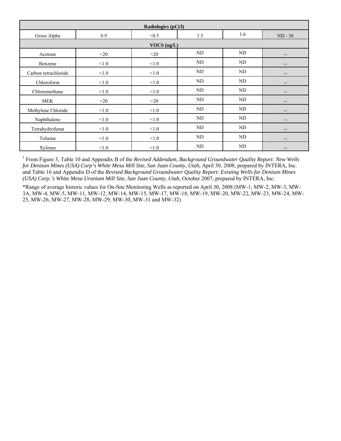| Radiologics (pCi/l)  |        |        |     |     |                          |  |
|----------------------|--------|--------|-----|-----|--------------------------|--|
| Gross Alpha          | 0.9    | < 0.5  | 1.5 | 1.6 | $ND - 36$                |  |
| VOCS (ug/L)          |        |        |     |     |                          |  |
| Acetone              | $<$ 20 | $<$ 20 | ND  | ND  | $\overline{\phantom{a}}$ |  |
| Benzene              | < 1.0  | < 1.0  | ND  | ND  | $\qquad \qquad -$        |  |
| Carbon tetrachloride | < 1.0  | < 1.0  | ND  | ND  | $\qquad \qquad -$        |  |
| Chloroform           | < 1.0  | < 1.0  | ND  | ND  | $\overline{\phantom{a}}$ |  |
| Chloromethane        | < 1.0  | < 1.0  | ND  | ND  | $\qquad \qquad -$        |  |
| <b>MEK</b>           | $<$ 20 | $<$ 20 | ND  | ND  | $\qquad \qquad -$        |  |
| Methylene Chloride   | < 1.0  | < 1.0  | ND  | ND  | $\overline{\phantom{a}}$ |  |
| Naphthalene          | < 1.0  | < 1.0  | ND  | ND  | $\overline{\phantom{a}}$ |  |
| Tetrahydrofuran      | < 1.0  | < 1.0  | ND  | ND  | $\qquad \qquad -$        |  |
| Toluene              | < 1.0  | < 1.0  | ND  | ND  | $- -$                    |  |
| Xylenes              | < 1.0  | < 1.0  | ND  | ND  | $-$                      |  |

<sup>1</sup> From Figure 3, Table 10 and Appendix B of the *Revised Addendum, Background Groundwater Quality Report: New Wells for Denison Mines (USA) Corp's White Mesa Mill Site, San Juan County, Utah*, April 30, 2008, prepared by INTERA, Inc. and Table 16 and Appendix D of the *Revised Background Groundwater Quality Report: Existing Wells for Denison Mines (USA) Corp.'s White Mesa Uranium Mill Site, San Juan County, Utah*, October 2007, prepared by INTERA, Inc.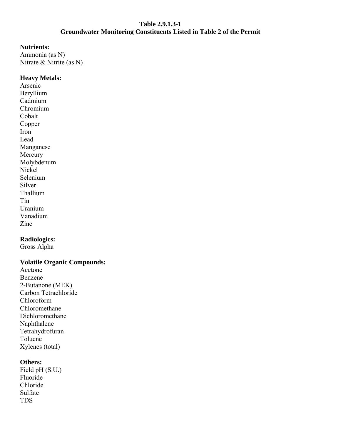#### **Table 2.9.1.3-1 Groundwater Monitoring Constituents Listed in Table 2 of the Permit**

#### **Nutrients:**

Ammonia (as N) Nitrate & Nitrite (as N)

## **Heavy Metals:**

Arsenic Beryllium Cadmium Chromium Cobalt Copper Iron Lead Manganese **Mercury** Molybdenum Nickel Selenium Silver Thallium Tin Uranium Vanadium Zinc

# **Radiologics:**

Gross Alpha

## **Volatile Organic Compounds:**

Acetone Benzene 2-Butanone (MEK) Carbon Tetrachloride Chloroform Chloromethane Dichloromethane Naphthalene Tetrahydrofuran Toluene Xylenes (total)

## **Others:**

Field pH (S.U.) Fluoride Chloride Sulfate TDS